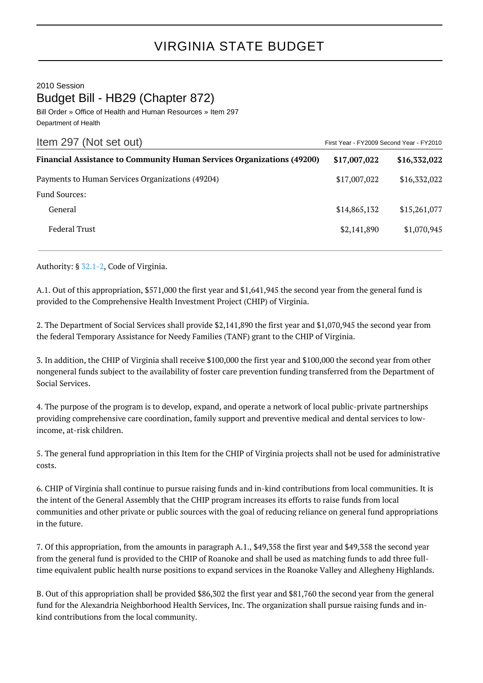## VIRGINIA STATE BUDGET

2010 Session Budget Bill - HB29 (Chapter 872)

Bill Order » Office of Health and Human Resources » Item 297 Department of Health

| Item 297 (Not set out)                                                        | First Year - FY2009 Second Year - FY2010 |              |
|-------------------------------------------------------------------------------|------------------------------------------|--------------|
| <b>Financial Assistance to Community Human Services Organizations (49200)</b> | \$17,007,022                             | \$16,332,022 |
| Payments to Human Services Organizations (49204)                              | \$17,007,022                             | \$16,332,022 |
| <b>Fund Sources:</b>                                                          |                                          |              |
| General                                                                       | \$14,865,132                             | \$15,261,077 |
| <b>Federal Trust</b>                                                          | \$2,141,890                              | \$1,070,945  |

Authority: § [32.1-2,](http://law.lis.virginia.gov/vacode/32.1-2/) Code of Virginia.

A.1. Out of this appropriation, \$571,000 the first year and \$1,641,945 the second year from the general fund is provided to the Comprehensive Health Investment Project (CHIP) of Virginia.

2. The Department of Social Services shall provide \$2,141,890 the first year and \$1,070,945 the second year from the federal Temporary Assistance for Needy Families (TANF) grant to the CHIP of Virginia.

3. In addition, the CHIP of Virginia shall receive \$100,000 the first year and \$100,000 the second year from other nongeneral funds subject to the availability of foster care prevention funding transferred from the Department of Social Services.

4. The purpose of the program is to develop, expand, and operate a network of local public-private partnerships providing comprehensive care coordination, family support and preventive medical and dental services to lowincome, at-risk children.

5. The general fund appropriation in this Item for the CHIP of Virginia projects shall not be used for administrative costs.

6. CHIP of Virginia shall continue to pursue raising funds and in-kind contributions from local communities. It is the intent of the General Assembly that the CHIP program increases its efforts to raise funds from local communities and other private or public sources with the goal of reducing reliance on general fund appropriations in the future.

7. Of this appropriation, from the amounts in paragraph A.1., \$49,358 the first year and \$49,358 the second year from the general fund is provided to the CHIP of Roanoke and shall be used as matching funds to add three fulltime equivalent public health nurse positions to expand services in the Roanoke Valley and Allegheny Highlands.

B. Out of this appropriation shall be provided \$86,302 the first year and \$81,760 the second year from the general fund for the Alexandria Neighborhood Health Services, Inc. The organization shall pursue raising funds and inkind contributions from the local community.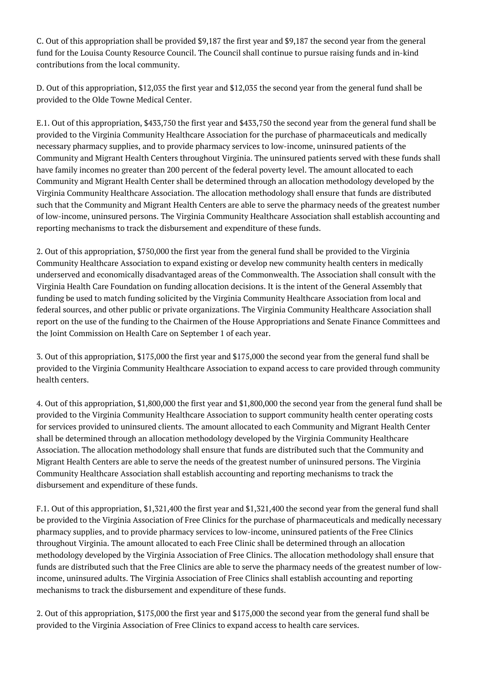C. Out of this appropriation shall be provided \$9,187 the first year and \$9,187 the second year from the general fund for the Louisa County Resource Council. The Council shall continue to pursue raising funds and in-kind contributions from the local community.

D. Out of this appropriation, \$12,035 the first year and \$12,035 the second year from the general fund shall be provided to the Olde Towne Medical Center.

E.1. Out of this appropriation, \$433,750 the first year and \$433,750 the second year from the general fund shall be provided to the Virginia Community Healthcare Association for the purchase of pharmaceuticals and medically necessary pharmacy supplies, and to provide pharmacy services to low-income, uninsured patients of the Community and Migrant Health Centers throughout Virginia. The uninsured patients served with these funds shall have family incomes no greater than 200 percent of the federal poverty level. The amount allocated to each Community and Migrant Health Center shall be determined through an allocation methodology developed by the Virginia Community Healthcare Association. The allocation methodology shall ensure that funds are distributed such that the Community and Migrant Health Centers are able to serve the pharmacy needs of the greatest number of low-income, uninsured persons. The Virginia Community Healthcare Association shall establish accounting and reporting mechanisms to track the disbursement and expenditure of these funds.

2. Out of this appropriation, \$750,000 the first year from the general fund shall be provided to the Virginia Community Healthcare Association to expand existing or develop new community health centers in medically underserved and economically disadvantaged areas of the Commonwealth. The Association shall consult with the Virginia Health Care Foundation on funding allocation decisions. It is the intent of the General Assembly that funding be used to match funding solicited by the Virginia Community Healthcare Association from local and federal sources, and other public or private organizations. The Virginia Community Healthcare Association shall report on the use of the funding to the Chairmen of the House Appropriations and Senate Finance Committees and the Joint Commission on Health Care on September 1 of each year.

3. Out of this appropriation, \$175,000 the first year and \$175,000 the second year from the general fund shall be provided to the Virginia Community Healthcare Association to expand access to care provided through community health centers.

4. Out of this appropriation, \$1,800,000 the first year and \$1,800,000 the second year from the general fund shall be provided to the Virginia Community Healthcare Association to support community health center operating costs for services provided to uninsured clients. The amount allocated to each Community and Migrant Health Center shall be determined through an allocation methodology developed by the Virginia Community Healthcare Association. The allocation methodology shall ensure that funds are distributed such that the Community and Migrant Health Centers are able to serve the needs of the greatest number of uninsured persons. The Virginia Community Healthcare Association shall establish accounting and reporting mechanisms to track the disbursement and expenditure of these funds.

F.1. Out of this appropriation, \$1,321,400 the first year and \$1,321,400 the second year from the general fund shall be provided to the Virginia Association of Free Clinics for the purchase of pharmaceuticals and medically necessary pharmacy supplies, and to provide pharmacy services to low-income, uninsured patients of the Free Clinics throughout Virginia. The amount allocated to each Free Clinic shall be determined through an allocation methodology developed by the Virginia Association of Free Clinics. The allocation methodology shall ensure that funds are distributed such that the Free Clinics are able to serve the pharmacy needs of the greatest number of lowincome, uninsured adults. The Virginia Association of Free Clinics shall establish accounting and reporting mechanisms to track the disbursement and expenditure of these funds.

2. Out of this appropriation, \$175,000 the first year and \$175,000 the second year from the general fund shall be provided to the Virginia Association of Free Clinics to expand access to health care services.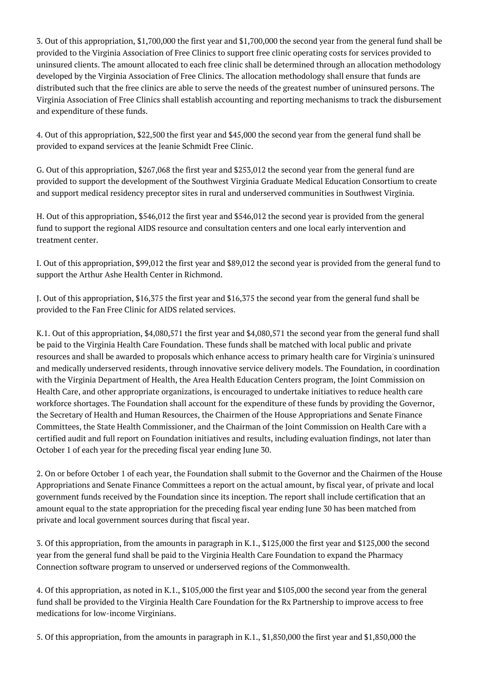3. Out of this appropriation, \$1,700,000 the first year and \$1,700,000 the second year from the general fund shall be provided to the Virginia Association of Free Clinics to support free clinic operating costs for services provided to uninsured clients. The amount allocated to each free clinic shall be determined through an allocation methodology developed by the Virginia Association of Free Clinics. The allocation methodology shall ensure that funds are distributed such that the free clinics are able to serve the needs of the greatest number of uninsured persons. The Virginia Association of Free Clinics shall establish accounting and reporting mechanisms to track the disbursement and expenditure of these funds.

4. Out of this appropriation, \$22,500 the first year and \$45,000 the second year from the general fund shall be provided to expand services at the Jeanie Schmidt Free Clinic.

G. Out of this appropriation, \$267,068 the first year and \$253,012 the second year from the general fund are provided to support the development of the Southwest Virginia Graduate Medical Education Consortium to create and support medical residency preceptor sites in rural and underserved communities in Southwest Virginia.

H. Out of this appropriation, \$546,012 the first year and \$546,012 the second year is provided from the general fund to support the regional AIDS resource and consultation centers and one local early intervention and treatment center.

I. Out of this appropriation, \$99,012 the first year and \$89,012 the second year is provided from the general fund to support the Arthur Ashe Health Center in Richmond.

J. Out of this appropriation, \$16,375 the first year and \$16,375 the second year from the general fund shall be provided to the Fan Free Clinic for AIDS related services.

K.1. Out of this appropriation, \$4,080,571 the first year and \$4,080,571 the second year from the general fund shall be paid to the Virginia Health Care Foundation. These funds shall be matched with local public and private resources and shall be awarded to proposals which enhance access to primary health care for Virginia's uninsured and medically underserved residents, through innovative service delivery models. The Foundation, in coordination with the Virginia Department of Health, the Area Health Education Centers program, the Joint Commission on Health Care, and other appropriate organizations, is encouraged to undertake initiatives to reduce health care workforce shortages. The Foundation shall account for the expenditure of these funds by providing the Governor, the Secretary of Health and Human Resources, the Chairmen of the House Appropriations and Senate Finance Committees, the State Health Commissioner, and the Chairman of the Joint Commission on Health Care with a certified audit and full report on Foundation initiatives and results, including evaluation findings, not later than October 1 of each year for the preceding fiscal year ending June 30.

2. On or before October 1 of each year, the Foundation shall submit to the Governor and the Chairmen of the House Appropriations and Senate Finance Committees a report on the actual amount, by fiscal year, of private and local government funds received by the Foundation since its inception. The report shall include certification that an amount equal to the state appropriation for the preceding fiscal year ending June 30 has been matched from private and local government sources during that fiscal year.

3. Of this appropriation, from the amounts in paragraph in K.1., \$125,000 the first year and \$125,000 the second year from the general fund shall be paid to the Virginia Health Care Foundation to expand the Pharmacy Connection software program to unserved or underserved regions of the Commonwealth.

4. Of this appropriation, as noted in K.1., \$105,000 the first year and \$105,000 the second year from the general fund shall be provided to the Virginia Health Care Foundation for the Rx Partnership to improve access to free medications for low-income Virginians.

5. Of this appropriation, from the amounts in paragraph in K.1., \$1,850,000 the first year and \$1,850,000 the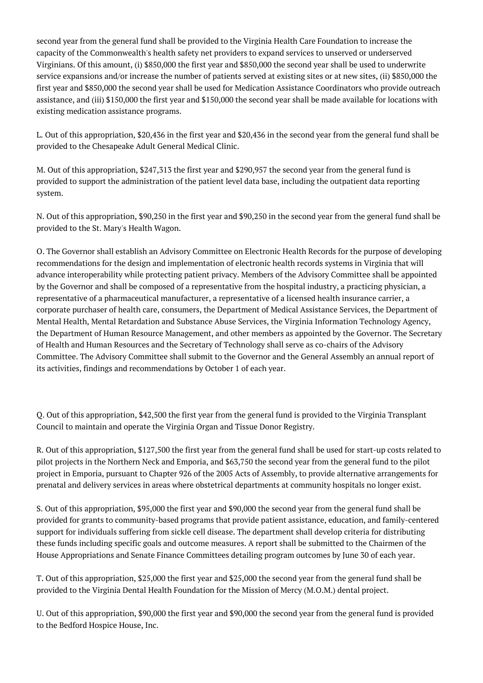second year from the general fund shall be provided to the Virginia Health Care Foundation to increase the capacity of the Commonwealth's health safety net providers to expand services to unserved or underserved Virginians. Of this amount, (i) \$850,000 the first year and \$850,000 the second year shall be used to underwrite service expansions and/or increase the number of patients served at existing sites or at new sites, (ii) \$850,000 the first year and \$850,000 the second year shall be used for Medication Assistance Coordinators who provide outreach assistance, and (iii) \$150,000 the first year and \$150,000 the second year shall be made available for locations with existing medication assistance programs.

L. Out of this appropriation, \$20,436 in the first year and \$20,436 in the second year from the general fund shall be provided to the Chesapeake Adult General Medical Clinic.

M. Out of this appropriation, \$247,313 the first year and \$290,957 the second year from the general fund is provided to support the administration of the patient level data base, including the outpatient data reporting system.

N. Out of this appropriation, \$90,250 in the first year and \$90,250 in the second year from the general fund shall be provided to the St. Mary's Health Wagon.

O. The Governor shall establish an Advisory Committee on Electronic Health Records for the purpose of developing recommendations for the design and implementation of electronic health records systems in Virginia that will advance interoperability while protecting patient privacy. Members of the Advisory Committee shall be appointed by the Governor and shall be composed of a representative from the hospital industry, a practicing physician, a representative of a pharmaceutical manufacturer, a representative of a licensed health insurance carrier, a corporate purchaser of health care, consumers, the Department of Medical Assistance Services, the Department of Mental Health, Mental Retardation and Substance Abuse Services, the Virginia Information Technology Agency, the Department of Human Resource Management, and other members as appointed by the Governor. The Secretary of Health and Human Resources and the Secretary of Technology shall serve as co-chairs of the Advisory Committee. The Advisory Committee shall submit to the Governor and the General Assembly an annual report of its activities, findings and recommendations by October 1 of each year.

Q. Out of this appropriation, \$42,500 the first year from the general fund is provided to the Virginia Transplant Council to maintain and operate the Virginia Organ and Tissue Donor Registry.

R. Out of this appropriation, \$127,500 the first year from the general fund shall be used for start-up costs related to pilot projects in the Northern Neck and Emporia, and \$63,750 the second year from the general fund to the pilot project in Emporia, pursuant to Chapter 926 of the 2005 Acts of Assembly, to provide alternative arrangements for prenatal and delivery services in areas where obstetrical departments at community hospitals no longer exist.

S. Out of this appropriation, \$95,000 the first year and \$90,000 the second year from the general fund shall be provided for grants to community-based programs that provide patient assistance, education, and family-centered support for individuals suffering from sickle cell disease. The department shall develop criteria for distributing these funds including specific goals and outcome measures. A report shall be submitted to the Chairmen of the House Appropriations and Senate Finance Committees detailing program outcomes by June 30 of each year.

T. Out of this appropriation, \$25,000 the first year and \$25,000 the second year from the general fund shall be provided to the Virginia Dental Health Foundation for the Mission of Mercy (M.O.M.) dental project.

U. Out of this appropriation, \$90,000 the first year and \$90,000 the second year from the general fund is provided to the Bedford Hospice House, Inc.